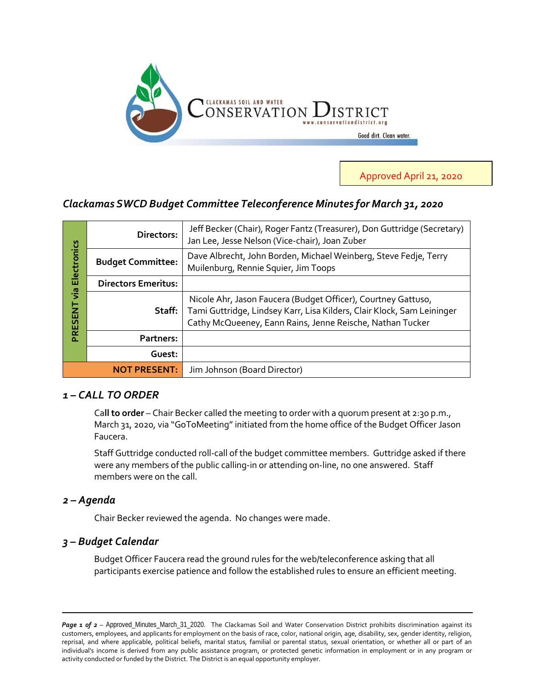

Approved April 21, 2020

# *Clackamas SWCD Budget Committee Teleconference Minutes for March 31, 2020*

| Electronics<br>ia<br>Vi<br>PRESENT | Directors:                 | Jeff Becker (Chair), Roger Fantz (Treasurer), Don Guttridge (Secretary)<br>Jan Lee, Jesse Nelson (Vice-chair), Joan Zuber                                                                            |
|------------------------------------|----------------------------|------------------------------------------------------------------------------------------------------------------------------------------------------------------------------------------------------|
|                                    | <b>Budget Committee:</b>   | Dave Albrecht, John Borden, Michael Weinberg, Steve Fedje, Terry<br>Muilenburg, Rennie Squier, Jim Toops                                                                                             |
|                                    | <b>Directors Emeritus:</b> |                                                                                                                                                                                                      |
|                                    | Staff:                     | Nicole Ahr, Jason Faucera (Budget Officer), Courtney Gattuso,<br>Tami Guttridge, Lindsey Karr, Lisa Kilders, Clair Klock, Sam Leininger<br>Cathy McQueeney, Eann Rains, Jenne Reische, Nathan Tucker |
|                                    | Partners:                  |                                                                                                                                                                                                      |
|                                    | Guest:                     |                                                                                                                                                                                                      |
| <b>NOT PRESENT:</b>                |                            | Jim Johnson (Board Director)                                                                                                                                                                         |

## *1 – CALL TO ORDER*

Ca**ll to order** – Chair Becker called the meeting to order with a quorum present at 2:30 p.m., March 31, 2020, via "GoToMeeting" initiated from the home office of the Budget Officer Jason Faucera.

Staff Guttridge conducted roll-call of the budget committee members. Guttridge asked if there were any members of the public calling-in or attending on-line, no one answered. Staff members were on the call.

### *2 – Agenda*

Chair Becker reviewed the agenda. No changes were made.

### *3 – Budget Calendar*

Budget Officer Faucera read the ground rules for the web/teleconference asking that all participants exercise patience and follow the established rules to ensure an efficient meeting.

Page 1 of 2 - Approved\_Minutes\_March\_31\_2020. The Clackamas Soil and Water Conservation District prohibits discrimination against its customers, employees, and applicants for employment on the basis of race, color, national origin, age, disability, sex, gender identity, religion, reprisal, and where applicable, political beliefs, marital status, familial or parental status, sexual orientation, or whether all or part of an individual's income is derived from any public assistance program, or protected genetic information in employment or in any program or activity conducted or funded by the District. The District is an equal opportunity employer.